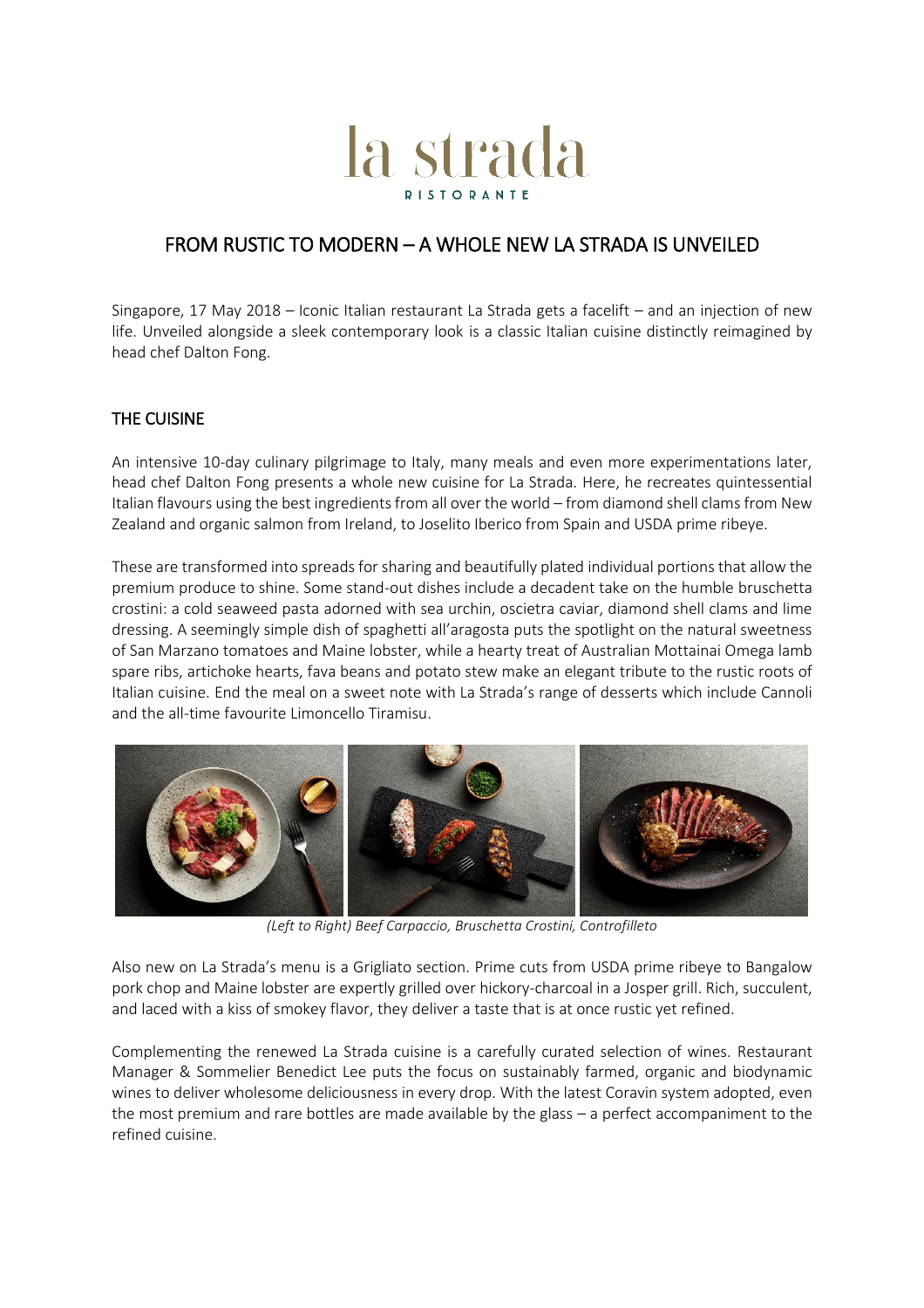# la strada

## FROM RUSTIC TO MODERN – A WHOLE NEW LA STRADA IS UNVEILED

Singapore, 17 May 2018 – Iconic Italian restaurant La Strada gets a facelift – and an injection of new life. Unveiled alongside a sleek contemporary look is a classic Italian cuisine distinctly reimagined by head chef Dalton Fong.

### THE CUISINE

An intensive 10-day culinary pilgrimage to Italy, many meals and even more experimentations later, head chef Dalton Fong presents a whole new cuisine for La Strada. Here, he recreates quintessential Italian flavours using the best ingredients from all over the world – from diamond shell clams from New Zealand and organic salmon from Ireland, to Joselito Iberico from Spain and USDA prime ribeye.

These are transformed into spreads for sharing and beautifully plated individual portions that allow the premium produce to shine. Some stand-out dishes include a decadent take on the humble bruschetta crostini: a cold seaweed pasta adorned with sea urchin, oscietra caviar, diamond shell clams and lime dressing. A seemingly simple dish of spaghetti all'aragosta puts the spotlight on the natural sweetness of San Marzano tomatoes and Maine lobster, while a hearty treat of Australian Mottainai Omega lamb spare ribs, artichoke hearts, fava beans and potato stew make an elegant tribute to the rustic roots of Italian cuisine. End the meal on a sweet note with La Strada's range of desserts which include Cannoli and the all-time favourite Limoncello Tiramisu.



*(Left to Right) Beef Carpaccio, Bruschetta Crostini, Controfilleto*

Also new on La Strada's menu is a Grigliato section. Prime cuts from USDA prime ribeye to Bangalow pork chop and Maine lobster are expertly grilled over hickory-charcoal in a Josper grill. Rich, succulent, and laced with a kiss of smokey flavor, they deliver a taste that is at once rustic yet refined.

Complementing the renewed La Strada cuisine is a carefully curated selection of wines. Restaurant Manager & Sommelier Benedict Lee puts the focus on sustainably farmed, organic and biodynamic wines to deliver wholesome deliciousness in every drop. With the latest Coravin system adopted, even the most premium and rare bottles are made available by the glass – a perfect accompaniment to the refined cuisine.